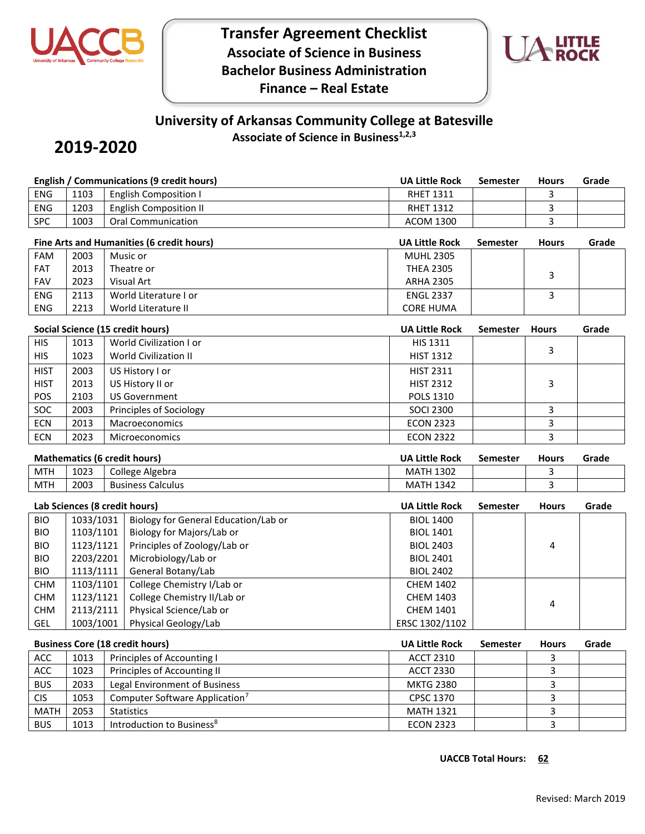

**Transfer Agreement Checklist Associate of Science in Business Bachelor Business Administration Finance – Real Estate**



## **University of Arkansas Community College at Batesville**

**Associate of Science in Business1,2,3**

# **2019-2020**

|                               |                                     |                     | <b>English / Communications (9 credit hours)</b> | <b>UA Little Rock</b> | <b>Semester</b> | <b>Hours</b> | Grade |
|-------------------------------|-------------------------------------|---------------------|--------------------------------------------------|-----------------------|-----------------|--------------|-------|
| <b>ENG</b>                    | 1103                                |                     | <b>English Composition I</b>                     | <b>RHET 1311</b>      |                 | 3            |       |
| <b>ENG</b>                    | 1203                                |                     | <b>English Composition II</b>                    | <b>RHET 1312</b>      |                 | 3            |       |
| SPC                           | 1003                                |                     | <b>Oral Communication</b>                        | <b>ACOM 1300</b>      |                 | 3            |       |
|                               |                                     |                     | Fine Arts and Humanities (6 credit hours)        | <b>UA Little Rock</b> | <b>Semester</b> | <b>Hours</b> | Grade |
| <b>FAM</b>                    | 2003                                |                     | Music or                                         | <b>MUHL 2305</b>      |                 |              |       |
| FAT                           | 2013                                |                     | Theatre or                                       | <b>THEA 2305</b>      |                 | 3            |       |
| <b>FAV</b>                    | 2023                                |                     | <b>Visual Art</b>                                | <b>ARHA 2305</b>      |                 |              |       |
| ENG                           | 2113                                |                     | World Literature I or                            | <b>ENGL 2337</b>      |                 | 3            |       |
| <b>ENG</b>                    | 2213                                | World Literature II |                                                  | <b>CORE HUMA</b>      |                 |              |       |
|                               |                                     |                     | Social Science (15 credit hours)                 | <b>UA Little Rock</b> | Semester        | <b>Hours</b> | Grade |
| <b>HIS</b>                    | 1013                                |                     | World Civilization I or                          | HIS 1311              |                 | 3            |       |
| <b>HIS</b>                    | 1023                                |                     | <b>World Civilization II</b>                     | <b>HIST 1312</b>      |                 |              |       |
| <b>HIST</b>                   | 2003                                |                     | US History I or                                  | <b>HIST 2311</b>      |                 |              |       |
| <b>HIST</b>                   | 2013                                |                     | US History II or                                 | <b>HIST 2312</b>      |                 | 3            |       |
| POS                           | 2103                                |                     | <b>US Government</b>                             | POLS 1310             |                 |              |       |
| SOC                           | 2003                                |                     | Principles of Sociology                          | <b>SOCI 2300</b>      |                 | 3            |       |
| <b>ECN</b>                    | 2013                                |                     | Macroeconomics                                   | <b>ECON 2323</b>      |                 | 3            |       |
| ECN                           | 2023                                |                     | <b>Microeconomics</b>                            | <b>ECON 2322</b>      |                 | 3            |       |
|                               | <b>Mathematics (6 credit hours)</b> |                     |                                                  | UA Little Rock        | <b>Semester</b> | <b>Hours</b> | Grade |
| <b>MTH</b>                    | 1023                                |                     | College Algebra                                  | <b>MATH 1302</b>      |                 | 3            |       |
| <b>MTH</b>                    | 2003                                |                     | <b>Business Calculus</b>                         | <b>MATH 1342</b>      |                 | 3            |       |
| Lab Sciences (8 credit hours) |                                     |                     |                                                  | <b>UA Little Rock</b> | <b>Semester</b> | <b>Hours</b> | Grade |
| <b>BIO</b>                    | 1033/1031                           |                     | Biology for General Education/Lab or             | <b>BIOL 1400</b>      |                 |              |       |
| <b>BIO</b>                    | 1103/1101                           |                     | Biology for Majors/Lab or                        | <b>BIOL 1401</b>      |                 | 4            |       |
| <b>BIO</b>                    | 1123/1121                           |                     | Principles of Zoology/Lab or                     | <b>BIOL 2403</b>      |                 |              |       |
| <b>BIO</b>                    | 2203/2201<br>1113/1111              |                     | Microbiology/Lab or                              | <b>BIOL 2401</b>      |                 |              |       |
| <b>BIO</b>                    |                                     |                     | General Botany/Lab                               | <b>BIOL 2402</b>      |                 |              |       |
| <b>CHM</b>                    |                                     |                     |                                                  |                       |                 |              |       |
|                               | 1103/1101                           |                     | College Chemistry I/Lab or                       | <b>CHEM 1402</b>      |                 |              |       |
| <b>CHM</b>                    | 1123/1121                           |                     | College Chemistry II/Lab or                      | <b>CHEM 1403</b>      |                 |              |       |
| <b>CHM</b>                    | 2113/2111                           |                     | Physical Science/Lab or                          | <b>CHEM 1401</b>      |                 | 4            |       |
| GEL                           | 1003/1001                           |                     | Physical Geology/Lab                             | ERSC 1302/1102        |                 |              |       |
|                               |                                     |                     | <b>Business Core (18 credit hours)</b>           | <b>UA Little Rock</b> | <b>Semester</b> | <b>Hours</b> | Grade |
| ACC                           | 1013                                |                     | Principles of Accounting I                       | <b>ACCT 2310</b>      |                 | 3            |       |
| ACC                           | 1023                                |                     | Principles of Accounting II                      | <b>ACCT 2330</b>      |                 | 3            |       |
| <b>BUS</b>                    | 2033                                |                     | Legal Environment of Business                    | <b>MKTG 2380</b>      |                 | 3            |       |
| <b>CIS</b>                    | 1053                                |                     | Computer Software Application <sup>7</sup>       | CPSC 1370             |                 | 3<br>3       |       |

BUS 1013 | Introduction to Business<sup>8</sup> exercise the contract of the ECON 2323 | and the state of the state of the state of the state of the state of the state of the state of the state of the state of the state of the stat